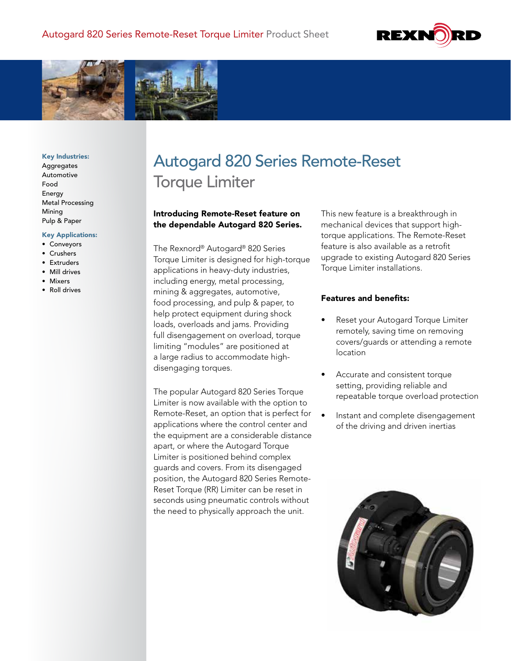



#### Key Industries:

Aggregates Automotive Food Energy Metal Processing Mining Pulp & Paper

#### Key Applications:

- Conveyors
- Crushers
- Extruders
- Mill drives
- Mixers
- Roll drives

# Autogard 820 Series Remote-Reset Torque Limiter

## Introducing Remote-Reset feature on the dependable Autogard 820 Series.

The Rexnord® Autogard® 820 Series Torque Limiter is designed for high-torque applications in heavy-duty industries, including energy, metal processing, mining & aggregates, automotive, food processing, and pulp & paper, to help protect equipment during shock loads, overloads and jams. Providing full disengagement on overload, torque limiting "modules" are positioned at a large radius to accommodate highdisengaging torques.

The popular Autogard 820 Series Torque Limiter is now available with the option to Remote-Reset, an option that is perfect for applications where the control center and the equipment are a considerable distance apart, or where the Autogard Torque Limiter is positioned behind complex guards and covers. From its disengaged position, the Autogard 820 Series Remote-Reset Torque (RR) Limiter can be reset in seconds using pneumatic controls without the need to physically approach the unit.

This new feature is a breakthrough in mechanical devices that support hightorque applications. The Remote-Reset feature is also available as a retrofit upgrade to existing Autogard 820 Series Torque Limiter installations.

### Features and benefits:

- Reset your Autogard Torque Limiter remotely, saving time on removing covers/guards or attending a remote location
- Accurate and consistent torque setting, providing reliable and repeatable torque overload protection
- Instant and complete disengagement of the driving and driven inertias